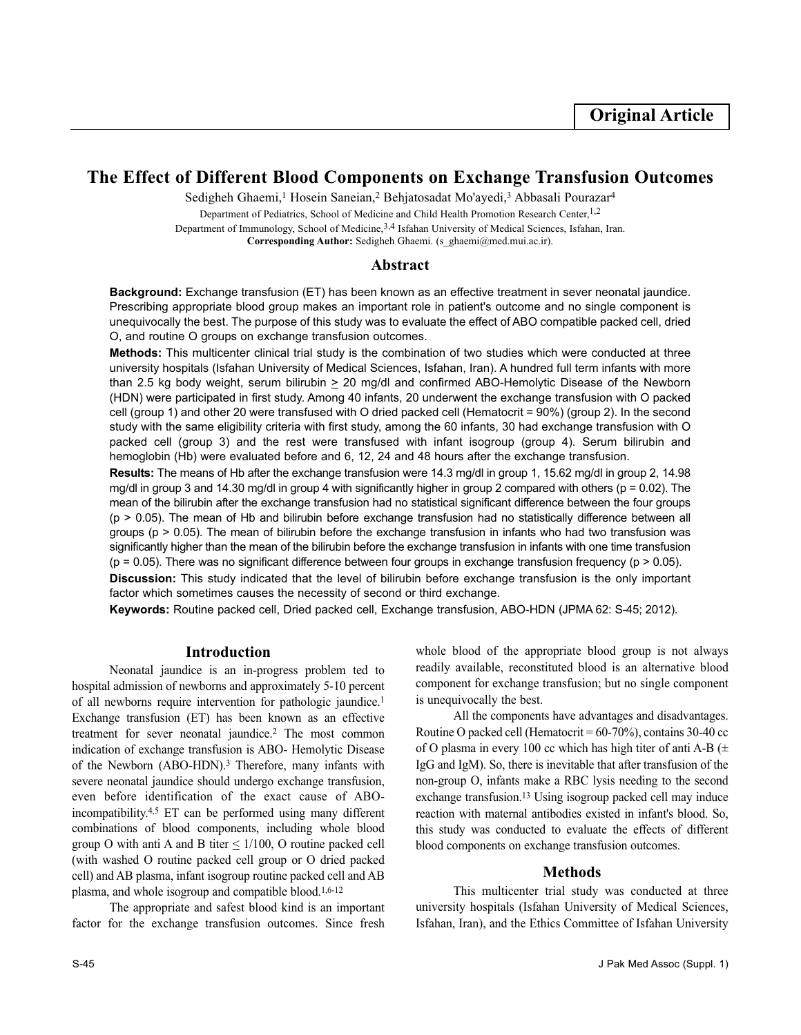# **The Effect of Different Blood Components on Exchange Transfusion Outcomes**

Sedigheh Ghaemi,<sup>1</sup> Hosein Saneian,<sup>2</sup> Behjatosadat Mo'ayedi,<sup>3</sup> Abbasali Pourazar<sup>4</sup>

Department of Pediatrics, School of Medicine and Child Health Promotion Research Center, 1,2 Department of Immunology, School of Medicine,3,4 Isfahan University of Medical Sciences, Isfahan, Iran. **Corresponding Author:** Sedigheh Ghaemi. (s\_ghaemi@med.mui.ac.ir).

## **Abstract**

**Background:** Exchange transfusion (ET) has been known as an effective treatment in sever neonatal jaundice. Prescribing appropriate blood group makes an important role in patient's outcome and no single component is unequivocally the best. The purpose of this study was to evaluate the effect of ABO compatible packed cell, dried O, and routine O groups on exchange transfusion outcomes.

**Methods:** This multicenter clinical trial study is the combination of two studies which were conducted at three university hospitals (Isfahan University of Medical Sciences, Isfahan, Iran). A hundred full term infants with more than 2.5 kg body weight, serum bilirubin  $\geq 20$  mg/dl and confirmed ABO-Hemolytic Disease of the Newborn (HDN) were participated in first study. Among 40 infants, 20 underwent the exchange transfusion with O packed cell (group 1) and other 20 were transfused with O dried packed cell (Hematocrit = 90%) (group 2). In the second study with the same eligibility criteria with first study, among the 60 infants, 30 had exchange transfusion with O packed cell (group 3) and the rest were transfused with infant isogroup (group 4). Serum bilirubin and hemoglobin (Hb) were evaluated before and 6, 12, 24 and 48 hours after the exchange transfusion.

**Results:** The means of Hb after the exchange transfusion were 14.3 mg/dl in group 1, 15.62 mg/dl in group 2, 14.98 mg/dl in group 3 and 14.30 mg/dl in group 4 with significantly higher in group 2 compared with others (p = 0.02). The mean of the bilirubin after the exchange transfusion had no statistical significant difference between the four groups  $(p > 0.05)$ . The mean of Hb and bilirubin before exchange transfusion had no statistically difference between all groups (p > 0.05). The mean of bilirubin before the exchange transfusion in infants who had two transfusion was significantly higher than the mean of the bilirubin before the exchange transfusion in infants with one time transfusion  $(p = 0.05)$ . There was no significant difference between four groups in exchange transfusion frequency  $(p > 0.05)$ .

**Discussion:** This study indicated that the level of bilirubin before exchange transfusion is the only important factor which sometimes causes the necessity of second or third exchange.

**Keywords:** Routine packed cell, Dried packed cell, Exchange transfusion, ABO-HDN (JPMA 62: S-45; 2012).

### **Introduction**

Neonatal jaundice is an in-progress problem ted to hospital admission of newborns and approximately 5-10 percent of all newborns require intervention for pathologic jaundice.<sup>1</sup> Exchange transfusion (ET) has been known as an effective treatment for sever neonatal jaundice.<sup>2</sup> The most common indication of exchange transfusion is ABO- Hemolytic Disease of the Newborn (ABO-HDN).<sup>3</sup> Therefore, many infants with severe neonatal jaundice should undergo exchange transfusion, even before identification of the exact cause of ABOincompatibility.4,5 ET can be performed using many different combinations of blood components, including whole blood group O with anti A and B titer  $\leq 1/100$ , O routine packed cell (with washed O routine packed cell group or O dried packed cell) and AB plasma, infant isogroup routine packed cell and AB plasma, and whole isogroup and compatible blood.<sup>1,6-12</sup>

The appropriate and safest blood kind is an important factor for the exchange transfusion outcomes. Since fresh whole blood of the appropriate blood group is not always readily available, reconstituted blood is an alternative blood component for exchange transfusion; but no single component is unequivocally the best.

All the components have advantages and disadvantages. Routine O packed cell (Hematocrit =  $60-70\%$ ), contains 30-40 cc of O plasma in every 100 cc which has high titer of anti A-B  $(\pm$ IgG and IgM). So, there is inevitable that after transfusion of the non-group O, infants make a RBC lysis needing to the second exchange transfusion.<sup>13</sup> Using isogroup packed cell may induce reaction with maternal antibodies existed in infant's blood. So, this study was conducted to evaluate the effects of different blood components on exchange transfusion outcomes.

## **Methods**

This multicenter trial study was conducted at three university hospitals (Isfahan University of Medical Sciences, Isfahan, Iran), and the Ethics Committee of Isfahan University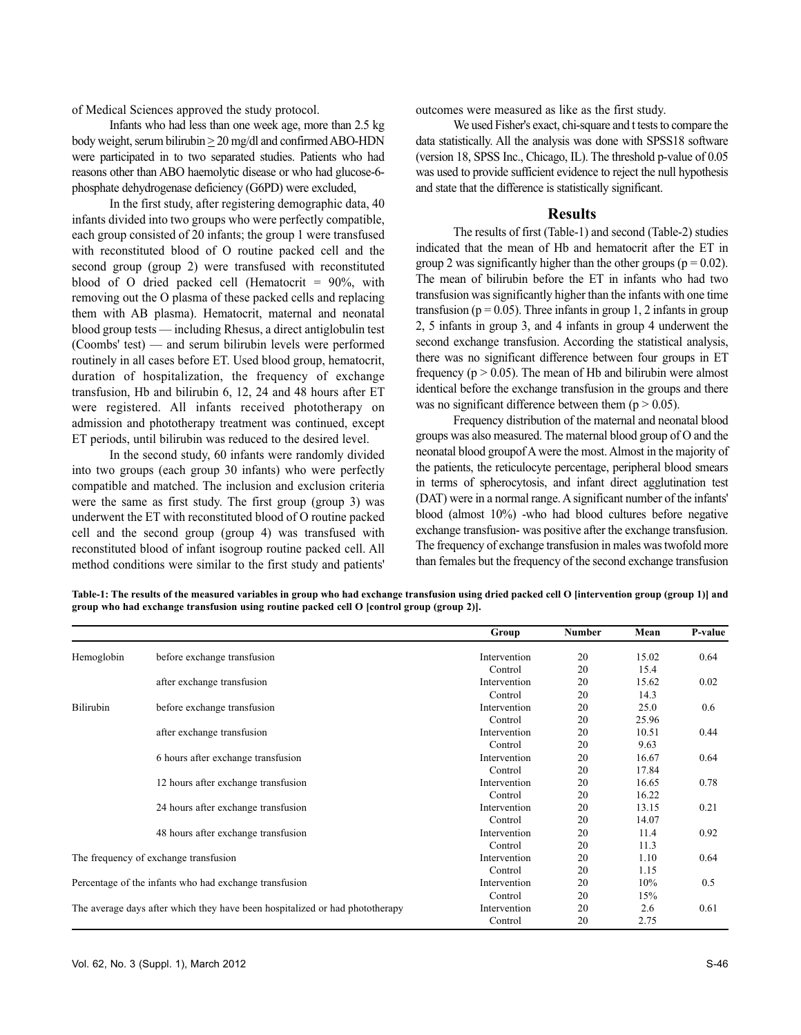of Medical Sciences approved the study protocol.

Infants who had less than one week age, more than 2.5 kg body weight, serum bilirubin > 20 mg/dl and confirmed ABO-HDN were participated in to two separated studies. Patients who had reasons other than ABO haemolytic disease or who had glucose-6 phosphate dehydrogenase deficiency (G6PD) were excluded,

In the first study, after registering demographic data, 40 infants divided into two groups who were perfectly compatible, each group consisted of 20 infants; the group 1 were transfused with reconstituted blood of O routine packed cell and the second group (group 2) were transfused with reconstituted blood of O dried packed cell (Hematocrit  $= 90\%$ , with removing out the O plasma of these packed cells and replacing them with AB plasma). Hematocrit, maternal and neonatal blood group tests — including Rhesus, a direct antiglobulin test (Coombs' test) — and serum bilirubin levels were performed routinely in all cases before ET. Used blood group, hematocrit, duration of hospitalization, the frequency of exchange transfusion, Hb and bilirubin 6, 12, 24 and 48 hours after ET were registered. All infants received phototherapy on admission and phototherapy treatment was continued, except ET periods, until bilirubin was reduced to the desired level.

In the second study, 60 infants were randomly divided into two groups (each group 30 infants) who were perfectly compatible and matched. The inclusion and exclusion criteria were the same as first study. The first group (group 3) was underwent the ET with reconstituted blood of O routine packed cell and the second group (group 4) was transfused with reconstituted blood of infant isogroup routine packed cell. All method conditions were similar to the first study and patients' outcomes were measured as like as the first study.

We used Fisher's exact, chi-square and t tests to compare the data statistically. All the analysis was done with SPSS18 software (version 18, SPSS Inc., Chicago, IL). The threshold p-value of 0.05 was used to provide sufficient evidence to reject the null hypothesis and state that the difference is statistically significant.

#### **Results**

The results of first (Table-1) and second (Table-2) studies indicated that the mean of Hb and hematocrit after the ET in group 2 was significantly higher than the other groups ( $p = 0.02$ ). The mean of bilirubin before the ET in infants who had two transfusion was significantly higher than the infants with one time transfusion ( $p = 0.05$ ). Three infants in group 1, 2 infants in group 2, 5 infants in group 3, and 4 infants in group 4 underwent the second exchange transfusion. According the statistical analysis, there was no significant difference between four groups in ET frequency ( $p > 0.05$ ). The mean of Hb and bilirubin were almost identical before the exchange transfusion in the groups and there was no significant difference between them ( $p > 0.05$ ).

Frequency distribution of the maternal and neonatal blood groups was also measured. The maternal blood group of O and the neonatal blood groupof A were the most. Almost in the majority of the patients, the reticulocyte percentage, peripheral blood smears in terms of spherocytosis, and infant direct agglutination test (DAT) were in a normal range. A significant number of the infants' blood (almost 10%) -who had blood cultures before negative exchange transfusion- was positive after the exchange transfusion. The frequency of exchange transfusion in males was twofold more than females but the frequency of the second exchange transfusion

**Table-1: The results of the measured variables in group who had exchange transfusion using dried packed cell O [intervention group (group 1)] and group who had exchange transfusion using routine packed cell O [control group (group 2)].**

|                                                                              |                                     | Group        | Number | Mean  | P-value |
|------------------------------------------------------------------------------|-------------------------------------|--------------|--------|-------|---------|
| Hemoglobin                                                                   | before exchange transfusion         | Intervention | 20     | 15.02 | 0.64    |
|                                                                              |                                     | Control      | 20     | 15.4  |         |
|                                                                              | after exchange transfusion          | Intervention | 20     | 15.62 | 0.02    |
|                                                                              |                                     | Control      | 20     | 14.3  |         |
| Bilirubin                                                                    | before exchange transfusion         | Intervention | 20     | 25.0  | 0.6     |
|                                                                              |                                     | Control      | 20     | 25.96 |         |
|                                                                              | after exchange transfusion          | Intervention | 20     | 10.51 | 0.44    |
|                                                                              |                                     | Control      | 20     | 9.63  |         |
|                                                                              | 6 hours after exchange transfusion  | Intervention | 20     | 16.67 | 0.64    |
|                                                                              |                                     | Control      | 20     | 17.84 |         |
|                                                                              | 12 hours after exchange transfusion | Intervention | 20     | 16.65 | 0.78    |
|                                                                              |                                     | Control      | 20     | 16.22 |         |
|                                                                              | 24 hours after exchange transfusion | Intervention | 20     | 13.15 | 0.21    |
|                                                                              |                                     | Control      | 20     | 14.07 |         |
|                                                                              | 48 hours after exchange transfusion | Intervention | 20     | 11.4  | 0.92    |
|                                                                              |                                     | Control      | 20     | 11.3  |         |
| The frequency of exchange transfusion                                        |                                     | Intervention | 20     | 1.10  | 0.64    |
|                                                                              |                                     | Control      | 20     | 1.15  |         |
| Percentage of the infants who had exchange transfusion                       |                                     | Intervention | 20     | 10%   | 0.5     |
|                                                                              |                                     | Control      | 20     | 15%   |         |
| The average days after which they have been hospitalized or had phototherapy |                                     | Intervention | 20     | 2.6   | 0.61    |
|                                                                              |                                     | Control      | 20     | 2.75  |         |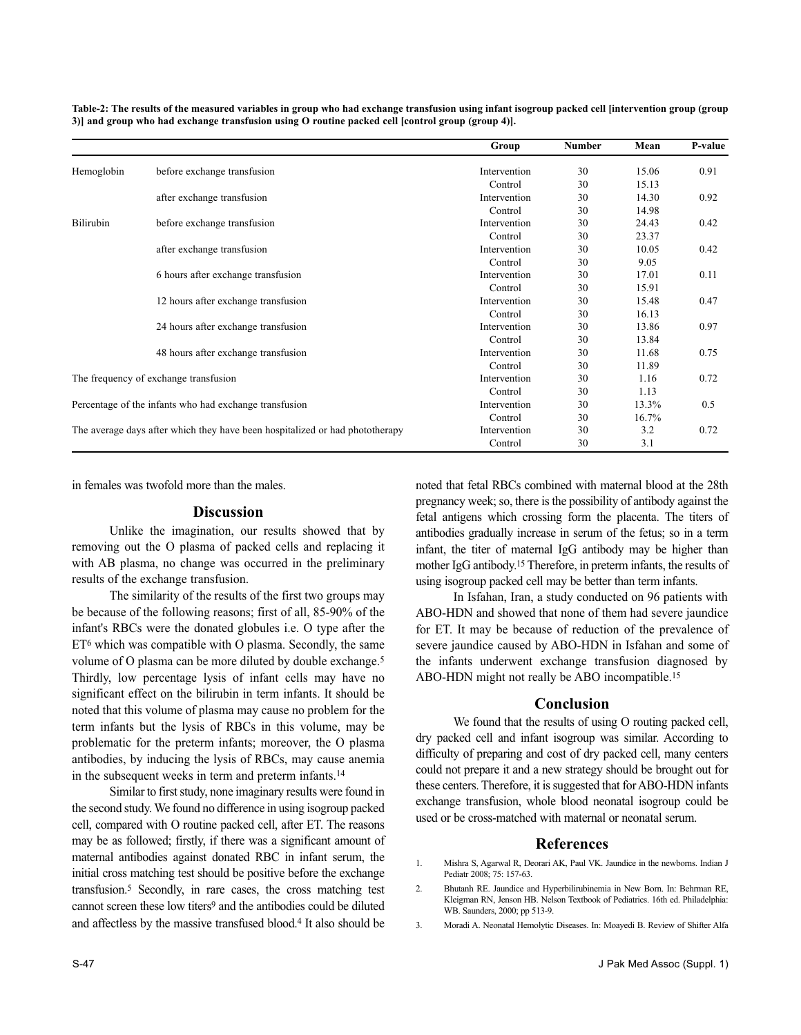|                                                                              |                                     | Group        | Number | Mean  | P-value |
|------------------------------------------------------------------------------|-------------------------------------|--------------|--------|-------|---------|
| Hemoglobin                                                                   | before exchange transfusion         | Intervention | 30     | 15.06 | 0.91    |
|                                                                              |                                     | Control      | 30     | 15.13 |         |
|                                                                              | after exchange transfusion          | Intervention | 30     | 14.30 | 0.92    |
|                                                                              |                                     | Control      | 30     | 14.98 |         |
| Bilirubin                                                                    | before exchange transfusion         | Intervention | 30     | 24.43 | 0.42    |
|                                                                              |                                     | Control      | 30     | 23.37 |         |
|                                                                              | after exchange transfusion          | Intervention | 30     | 10.05 | 0.42    |
|                                                                              |                                     | Control      | 30     | 9.05  |         |
|                                                                              | 6 hours after exchange transfusion  | Intervention | 30     | 17.01 | 0.11    |
|                                                                              |                                     | Control      | 30     | 15.91 |         |
|                                                                              | 12 hours after exchange transfusion | Intervention | 30     | 15.48 | 0.47    |
|                                                                              |                                     | Control      | 30     | 16.13 |         |
|                                                                              | 24 hours after exchange transfusion | Intervention | 30     | 13.86 | 0.97    |
|                                                                              |                                     | Control      | 30     | 13.84 |         |
|                                                                              | 48 hours after exchange transfusion | Intervention | 30     | 11.68 | 0.75    |
|                                                                              |                                     | Control      | 30     | 11.89 |         |
| The frequency of exchange transfusion                                        |                                     | Intervention | 30     | 1.16  | 0.72    |
|                                                                              |                                     | Control      | 30     | 1.13  |         |
| Percentage of the infants who had exchange transfusion                       |                                     | Intervention | 30     | 13.3% | 0.5     |
|                                                                              |                                     | Control      | 30     | 16.7% |         |
| The average days after which they have been hospitalized or had phototherapy |                                     | Intervention | 30     | 3.2   | 0.72    |
|                                                                              |                                     | Control      | 30     | 3.1   |         |

**Table-2: The results of the measured variables in group who had exchange transfusion using infant isogroup packed cell [intervention group (group 3)] and group who had exchange transfusion using O routine packed cell [control group (group 4)].**

in females was twofold more than the males.

### **Discussion**

Unlike the imagination, our results showed that by removing out the O plasma of packed cells and replacing it with AB plasma, no change was occurred in the preliminary results of the exchange transfusion.

The similarity of the results of the first two groups may be because of the following reasons; first of all, 85-90% of the infant's RBCs were the donated globules i.e. O type after the  $ET<sup>6</sup>$  which was compatible with O plasma. Secondly, the same volume of O plasma can be more diluted by double exchange.<sup>5</sup> Thirdly, low percentage lysis of infant cells may have no significant effect on the bilirubin in term infants. It should be noted that this volume of plasma may cause no problem for the term infants but the lysis of RBCs in this volume, may be problematic for the preterm infants; moreover, the O plasma antibodies, by inducing the lysis of RBCs, may cause anemia in the subsequent weeks in term and preterm infants.<sup>14</sup>

Similar to first study, none imaginary results were found in the second study. We found no difference in using isogroup packed cell, compared with O routine packed cell, after ET. The reasons may be as followed; firstly, if there was a significant amount of maternal antibodies against donated RBC in infant serum, the initial cross matching test should be positive before the exchange transfusion.<sup>5</sup> Secondly, in rare cases, the cross matching test cannot screen these low titers<sup>9</sup> and the antibodies could be diluted and affectless by the massive transfused blood.<sup>4</sup> It also should be

infant, the titer of maternal IgG antibody may be higher than mother IgG antibody.<sup>15</sup> Therefore, in preterm infants, the results of using isogroup packed cell may be better than term infants. In Isfahan, Iran, a study conducted on 96 patients with ABO-HDN and showed that none of them had severe jaundice for ET. It may be because of reduction of the prevalence of severe jaundice caused by ABO-HDN in Isfahan and some of the infants underwent exchange transfusion diagnosed by

ABO-HDN might not really be ABO incompatible.<sup>15</sup>

### **Conclusion**

noted that fetal RBCs combined with maternal blood at the 28th pregnancy week; so, there is the possibility of antibody against the fetal antigens which crossing form the placenta. The titers of antibodies gradually increase in serum of the fetus; so in a term

We found that the results of using O routing packed cell, dry packed cell and infant isogroup was similar. According to difficulty of preparing and cost of dry packed cell, many centers could not prepare it and a new strategy should be brought out for these centers. Therefore, it is suggested that for ABO-HDN infants exchange transfusion, whole blood neonatal isogroup could be used or be cross-matched with maternal or neonatal serum.

#### **References**

- 1. Mishra S, Agarwal R, Deorari AK, Paul VK. Jaundice in the newborns. Indian J Pediatr 2008; 75: 157-63.
- 2. Bhutanh RE. Jaundice and Hyperbilirubinemia in New Born. In: Behrman RE, Kleigman RN, Jenson HB. Nelson Textbook of Pediatrics. 16th ed. Philadelphia: WB. Saunders, 2000; pp 513-9.
- 3. Moradi A. Neonatal Hemolytic Diseases. In: Moayedi B. Review of Shifter Alfa